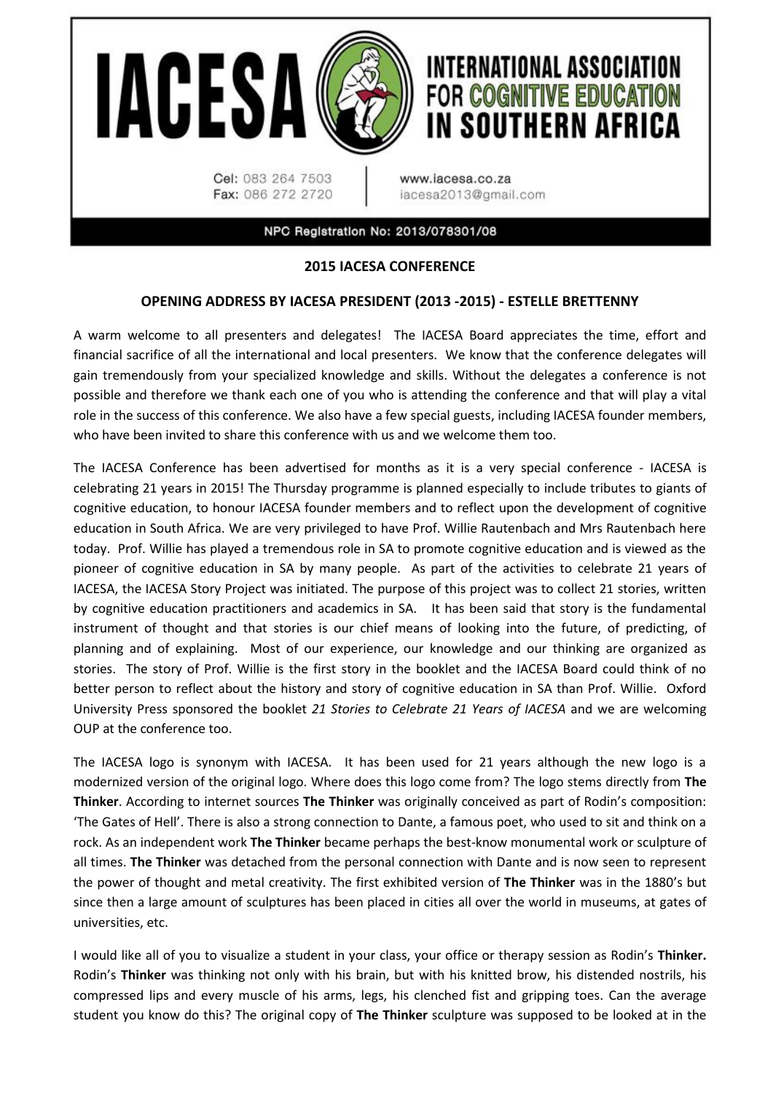

## **2015 IACESA CONFERENCE**

## **OPENING ADDRESS BY IACESA PRESIDENT (2013 -2015) - ESTELLE BRETTENNY**

A warm welcome to all presenters and delegates! The IACESA Board appreciates the time, effort and financial sacrifice of all the international and local presenters. We know that the conference delegates will gain tremendously from your specialized knowledge and skills. Without the delegates a conference is not possible and therefore we thank each one of you who is attending the conference and that will play a vital role in the success of this conference. We also have a few special guests, including IACESA founder members, who have been invited to share this conference with us and we welcome them too.

The IACESA Conference has been advertised for months as it is a very special conference - IACESA is celebrating 21 years in 2015! The Thursday programme is planned especially to include tributes to giants of cognitive education, to honour IACESA founder members and to reflect upon the development of cognitive education in South Africa. We are very privileged to have Prof. Willie Rautenbach and Mrs Rautenbach here today. Prof. Willie has played a tremendous role in SA to promote cognitive education and is viewed as the pioneer of cognitive education in SA by many people. As part of the activities to celebrate 21 years of IACESA, the IACESA Story Project was initiated. The purpose of this project was to collect 21 stories, written by cognitive education practitioners and academics in SA. It has been said that story is the fundamental instrument of thought and that stories is our chief means of looking into the future, of predicting, of planning and of explaining. Most of our experience, our knowledge and our thinking are organized as stories. The story of Prof. Willie is the first story in the booklet and the IACESA Board could think of no better person to reflect about the history and story of cognitive education in SA than Prof. Willie. Oxford University Press sponsored the booklet *21 Stories to Celebrate 21 Years of IACESA* and we are welcoming OUP at the conference too.

The IACESA logo is synonym with IACESA. It has been used for 21 years although the new logo is a modernized version of the original logo. Where does this logo come from? The logo stems directly from **The Thinker**. According to internet sources **The Thinker** was originally conceived as part of Rodin's composition: 'The Gates of Hell'. There is also a strong connection to Dante, a famous poet, who used to sit and think on a rock. As an independent work **The Thinker** became perhaps the best-know monumental work or sculpture of all times. **The Thinker** was detached from the personal connection with Dante and is now seen to represent the power of thought and metal creativity. The first exhibited version of **The Thinker** was in the 1880's but since then a large amount of sculptures has been placed in cities all over the world in museums, at gates of universities, etc.

I would like all of you to visualize a student in your class, your office or therapy session as Rodin's **Thinker.**  Rodin's **Thinker** was thinking not only with his brain, but with his knitted brow, his distended nostrils, his compressed lips and every muscle of his arms, legs, his clenched fist and gripping toes. Can the average student you know do this? The original copy of **The Thinker** sculpture was supposed to be looked at in the